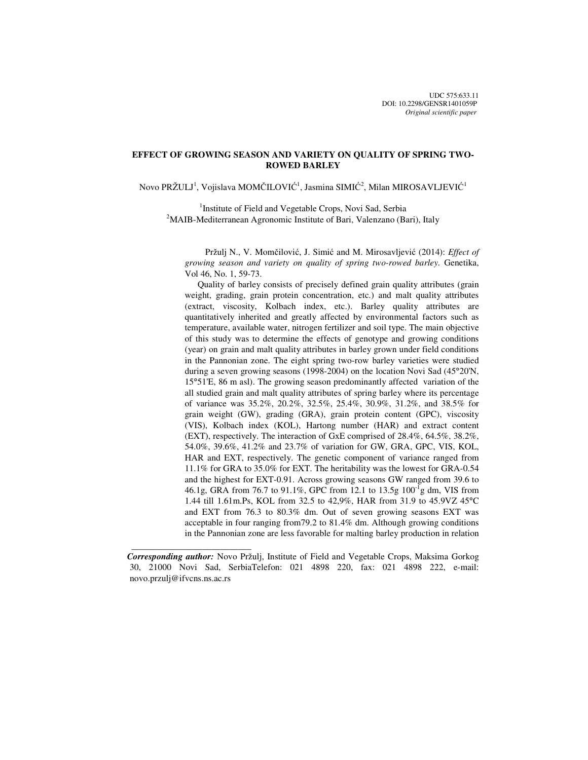# **EFFECT OF GROWING SEASON AND VARIETY ON QUALITY OF SPRING TWO-ROWED BARLEY**

Novo PRŽULJ $^1$ , Vojislava MOMČILOVIĆ $^1$ , Jasmina SIMIĆ $^2$ , Milan MIROSAVLJEVIĆ $^1$ 

<sup>1</sup>Institute of Field and Vegetable Crops, Novi Sad, Serbia  $2^2$ MAIB-Mediterranean Agronomic Institute of Bari, Valenzano (Bari), Italy

 Pržulj N., V. Momčilović, J. Simić and M. Mirosavljević (2014): *Effect of growing season and variety on quality of spring two-rowed barley.* Genetika, Vol 46, No. 1, 59-73.

Quality of barley consists of precisely defined grain quality attributes (grain weight, grading, grain protein concentration, etc.) and malt quality attributes (extract, viscosity, Kolbach index, etc.). Barley quality attributes are quantitatively inherited and greatly affected by environmental factors such as temperature, available water, nitrogen fertilizer and soil type. The main objective of this study was to determine the effects of genotype and growing conditions (year) on grain and malt quality attributes in barley grown under field conditions in the Pannonian zone. The eight spring two-row barley varieties were studied during a seven growing seasons (1998-2004) on the location Novi Sad (45°20'N, 15°51'E, 86 m asl). The growing season predominantly affected variation of the all studied grain and malt quality attributes of spring barley where its percentage of variance was 35.2%, 20.2%, 32.5%, 25.4%, 30.9%, 31.2%, and 38.5% for grain weight (GW), grading (GRA), grain protein content (GPC), viscosity (VIS), Kolbach index (KOL), Hartong number (HAR) and extract content (EXT), respectively. The interaction of GxE comprised of 28.4%, 64.5%, 38.2%, 54.0%, 39.6%, 41.2% and 23.7% of variation for GW, GRA, GPC, VIS, KOL, HAR and EXT, respectively. The genetic component of variance ranged from 11.1% for GRA to 35.0% for EXT. The heritability was the lowest for GRA-0.54 and the highest for EXT-0.91. Across growing seasons GW ranged from 39.6 to 46.1g, GRA from 76.7 to 91.1%, GPC from 12.1 to 13.5g  $100^{-1}$ g dm, VIS from 1.44 till 1.61m.Ps, KOL from 32.5 to 42,9%, HAR from 31.9 to 45.9VZ 45°C and EXT from 76.3 to 80.3% dm. Out of seven growing seasons EXT was acceptable in four ranging from79.2 to 81.4% dm. Although growing conditions in the Pannonian zone are less favorable for malting barley production in relation

 $\frac{1}{2}$  , and the set of the set of the set of the set of the set of the set of the set of the set of the set of the set of the set of the set of the set of the set of the set of the set of the set of the set of the set

*Corresponding author:* Novo Pržulj, Institute of Field and Vegetable Crops, Maksima Gorkog 30, 21000 Novi Sad, SerbiaTelefon: 021 4898 220, fax: 021 4898 222, e-mail: novo.przulj@ifvcns.ns.ac.rs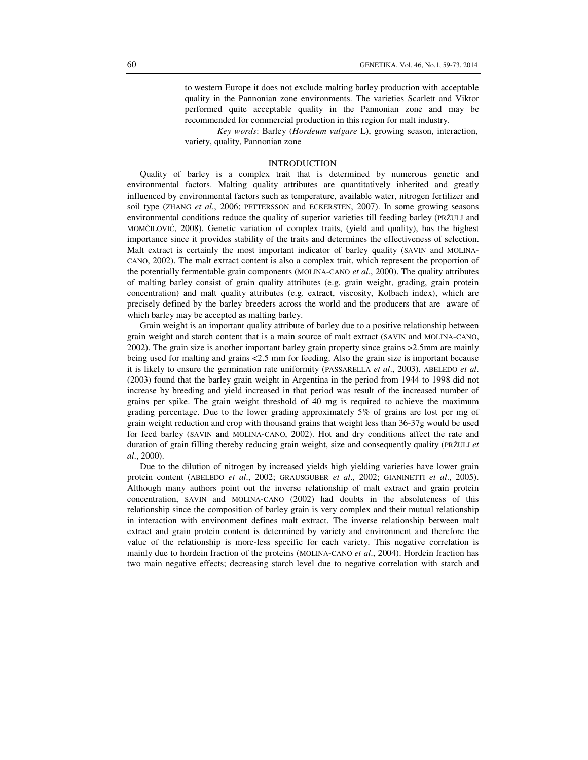to western Europe it does not exclude malting barley production with acceptable quality in the Pannonian zone environments. The varieties Scarlett and Viktor performed quite acceptable quality in the Pannonian zone and may be recommended for commercial production in this region for malt industry.

*Key words*: Barley (*Hordeum vulgare* L), growing season, interaction, variety, quality, Pannonian zone

## INTRODUCTION

Quality of barley is a complex trait that is determined by numerous genetic and environmental factors. Malting quality attributes are quantitatively inherited and greatly influenced by environmental factors such as temperature, available water, nitrogen fertilizer and soil type (ZHANG *et al*., 2006; PETTERSSON and ECKERSTEN, 2007). In some growing seasons environmental conditions reduce the quality of superior varieties till feeding barley (PRŽULJ and MOMČILOVIĆ, 2008). Genetic variation of complex traits, (yield and quality), has the highest importance since it provides stability of the traits and determines the effectiveness of selection. Malt extract is certainly the most important indicator of barley quality (SAVIN and MOLINA-CANO, 2002). The malt extract content is also a complex trait, which represent the proportion of the potentially fermentable grain components (MOLINA-CANO *et al*., 2000). The quality attributes of malting barley consist of grain quality attributes (e.g. grain weight, grading, grain protein concentration) and malt quality attributes (e.g. extract, viscosity, Kolbach index), which are precisely defined by the barley breeders across the world and the producers that are aware of which barley may be accepted as malting barley.

Grain weight is an important quality attribute of barley due to a positive relationship between grain weight and starch content that is a main source of malt extract (SAVIN and MOLINA-CANO, 2002). The grain size is another important barley grain property since grains >2.5mm are mainly being used for malting and grains <2.5 mm for feeding. Also the grain size is important because it is likely to ensure the germination rate uniformity (PASSARELLA *et al*., 2003). ABELEDO *et al*. (2003) found that the barley grain weight in Argentina in the period from 1944 to 1998 did not increase by breeding and yield increased in that period was result of the increased number of grains per spike. The grain weight threshold of 40 mg is required to achieve the maximum grading percentage. Due to the lower grading approximately 5% of grains are lost per mg of grain weight reduction and crop with thousand grains that weight less than 36-37g would be used for feed barley (SAVIN and MOLINA-CANO, 2002). Hot and dry conditions affect the rate and duration of grain filling thereby reducing grain weight, size and consequently quality (PRŽULJ *et al*., 2000).

Due to the dilution of nitrogen by increased yields high yielding varieties have lower grain protein content (ABELEDO *et al*., 2002; GRAUSGUBER *et al*., 2002; GIANINETTI *et al*., 2005). Although many authors point out the inverse relationship of malt extract and grain protein concentration, SAVIN and MOLINA-CANO (2002) had doubts in the absoluteness of this relationship since the composition of barley grain is very complex and their mutual relationship in interaction with environment defines malt extract. The inverse relationship between malt extract and grain protein content is determined by variety and environment and therefore the value of the relationship is more-less specific for each variety. This negative correlation is mainly due to hordein fraction of the proteins (MOLINA-CANO *et al*., 2004). Hordein fraction has two main negative effects; decreasing starch level due to negative correlation with starch and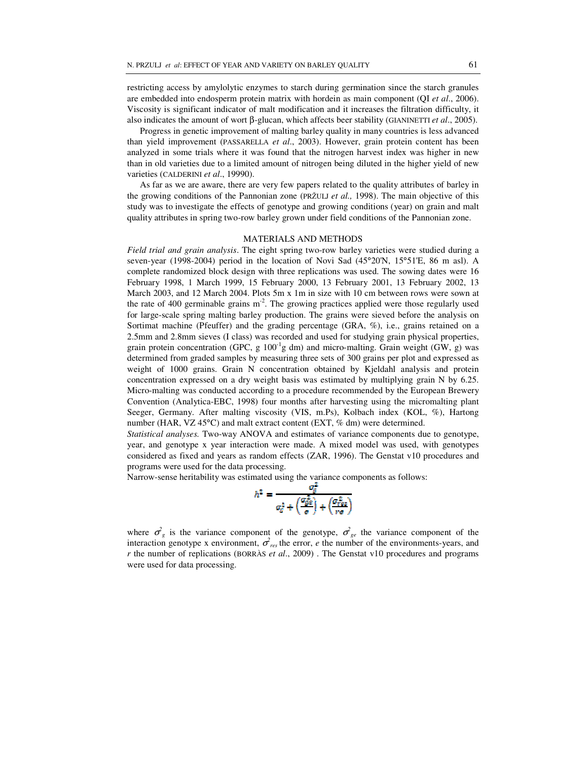restricting access by amylolytic enzymes to starch during germination since the starch granules are embedded into endosperm protein matrix with hordein as main component (QI *et al*., 2006). Viscosity is significant indicator of malt modification and it increases the filtration difficulty, it also indicates the amount of wort β-glucan, which affects beer stability (GIANINETTI *et al*., 2005).

Progress in genetic improvement of malting barley quality in many countries is less advanced than yield improvement (PASSARELLA *et al*., 2003). However, grain protein content has been analyzed in some trials where it was found that the nitrogen harvest index was higher in new than in old varieties due to a limited amount of nitrogen being diluted in the higher yield of new varieties (CALDERINI *et al*., 19990).

As far as we are aware, there are very few papers related to the quality attributes of barley in the growing conditions of the Pannonian zone (PRŽULJ *et al.,* 1998). The main objective of this study was to investigate the effects of genotype and growing conditions (year) on grain and malt quality attributes in spring two-row barley grown under field conditions of the Pannonian zone.

#### MATERIALS AND METHODS

*Field trial and grain analysis*. The eight spring two-row barley varieties were studied during a seven-year (1998-2004) period in the location of Novi Sad (45°20'N, 15°51'E, 86 m asl). A complete randomized block design with three replications was used. The sowing dates were 16 February 1998, 1 March 1999, 15 February 2000, 13 February 2001, 13 February 2002, 13 March 2003, and 12 March 2004. Plots 5m x 1m in size with 10 cm between rows were sown at the rate of 400 germinable grains  $m<sup>2</sup>$ . The growing practices applied were those regularly used for large-scale spring malting barley production. The grains were sieved before the analysis on Sortimat machine (Pfeuffer) and the grading percentage (GRA, %), i.e., grains retained on a 2.5mm and 2.8mm sieves (I class) was recorded and used for studying grain physical properties, grain protein concentration (GPC, g  $100^{\degree}$ g dm) and micro-malting. Grain weight (GW, g) was determined from graded samples by measuring three sets of 300 grains per plot and expressed as weight of 1000 grains. Grain N concentration obtained by Kjeldahl analysis and protein concentration expressed on a dry weight basis was estimated by multiplying grain N by 6.25. Micro-malting was conducted according to a procedure recommended by the European Brewery Convention (Analytica-EBC, 1998) four months after harvesting using the micromalting plant Seeger, Germany. After malting viscosity (VIS, m.Ps), Kolbach index (KOL, %), Hartong number (HAR, VZ 45°C) and malt extract content (EXT, % dm) were determined.

*Statistical analyses.* Two-way ANOVA and estimates of variance components due to genotype, year, and genotype x year interaction were made. A mixed model was used, with genotypes considered as fixed and years as random effects (ZAR, 1996). The Genstat v10 procedures and programs were used for the data processing.

Narrow-sense heritability was estimated using the variance components as follows:

$$
h^2 = \frac{\sigma_g^2}{\sigma_{\!G}^2 + \left(\frac{\sigma_{\!G}^2}{\sigma}\right) + \left(\frac{\sigma_{\!G}^2}{r \sigma}\right)}
$$

where  $\sigma_g^2$  is the variance component of the genotype,  $\sigma_{ge}^2$  the variance component of the interaction genotype x environment,  $\sigma_{res}^2$  the error, *e* the number of the environments-years, and *r* the number of replications (BORRÀS *et al*., 2009) . The Genstat v10 procedures and programs were used for data processing.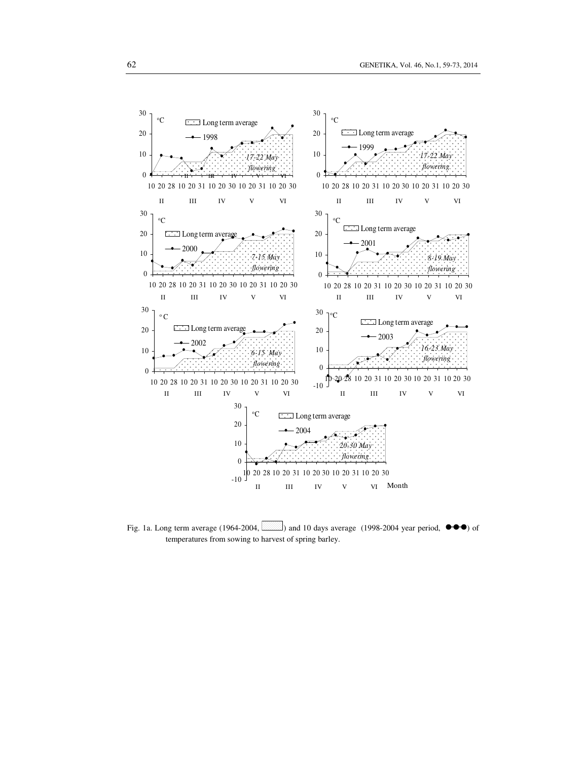

Fig. 1a. Long term average (1964-2004,  $\frac{1}{2}$ ) and 10 days average (1998-2004 year period,  $\bullet \bullet \bullet$ ) of temperatures from sowing to harvest of spring barley.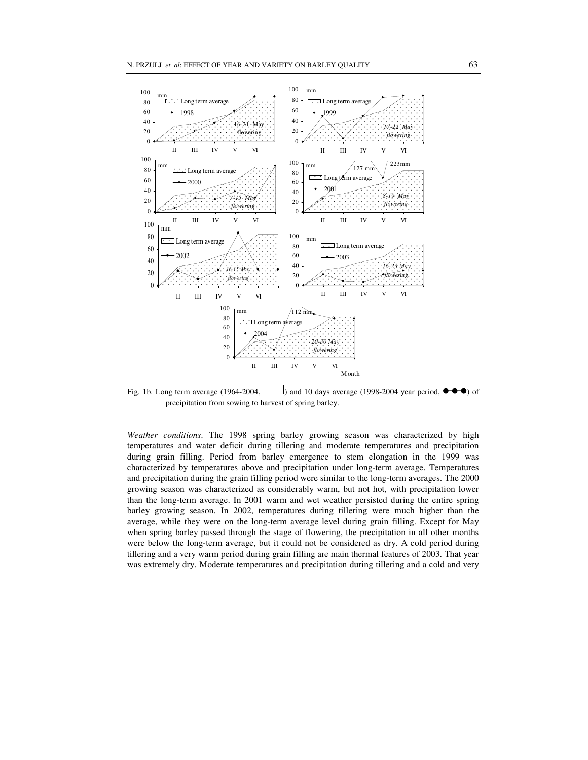

Fig. 1b. Long term average (1964-2004,  $\sim$ ) and 10 days average (1998-2004 year period,  $\bullet \bullet \bullet$ ) of precipitation from sowing to harvest of spring barley.

*Weather conditions*. The 1998 spring barley growing season was characterized by high temperatures and water deficit during tillering and moderate temperatures and precipitation during grain filling. Period from barley emergence to stem elongation in the 1999 was characterized by temperatures above and precipitation under long-term average. Temperatures and precipitation during the grain filling period were similar to the long-term averages. The 2000 growing season was characterized as considerably warm, but not hot, with precipitation lower than the long-term average. In 2001 warm and wet weather persisted during the entire spring barley growing season. In 2002, temperatures during tillering were much higher than the average, while they were on the long-term average level during grain filling. Except for May when spring barley passed through the stage of flowering, the precipitation in all other months were below the long-term average, but it could not be considered as dry. A cold period during tillering and a very warm period during grain filling are main thermal features of 2003. That year was extremely dry. Moderate temperatures and precipitation during tillering and a cold and very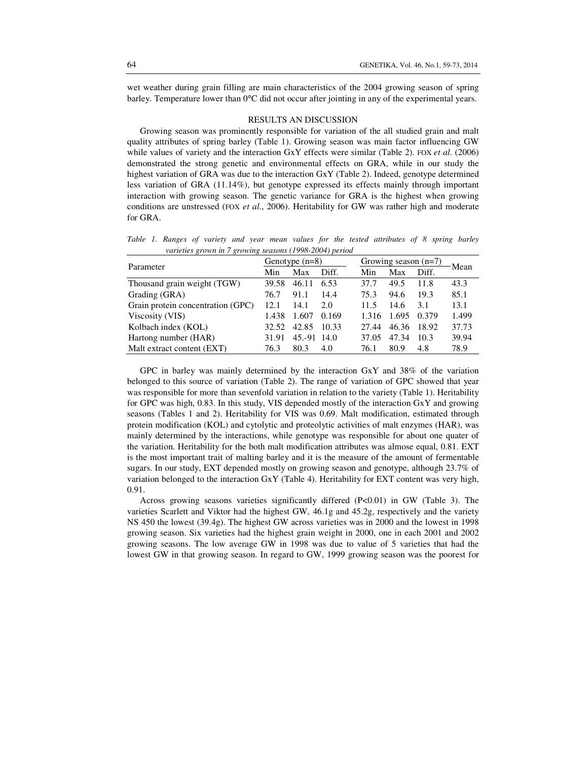wet weather during grain filling are main characteristics of the 2004 growing season of spring barley. Temperature lower than 0°C did not occur after jointing in any of the experimental years.

# RESULTS AN DISCUSSION

Growing season was prominently responsible for variation of the all studied grain and malt quality attributes of spring barley (Table 1). Growing season was main factor influencing GW while values of variety and the interaction GxY effects were similar (Table 2). FOX *et al*. (2006) demonstrated the strong genetic and environmental effects on GRA, while in our study the highest variation of GRA was due to the interaction GxY (Table 2). Indeed, genotype determined less variation of GRA (11.14%), but genotype expressed its effects mainly through important interaction with growing season. The genetic variance for GRA is the highest when growing conditions are unstressed (FOX *et al*., 2006). Heritability for GW was rather high and moderate for GRA.

*Table 1. Ranges of variety and year mean values for the tested attributes of 8 spring barley varieties grown in 7 growing seasons (1998-2004) period*

|                                   |       | Genotype $(n=8)$ |       | Growing season $(n=7)$ |       |       | Mean  |
|-----------------------------------|-------|------------------|-------|------------------------|-------|-------|-------|
| Parameter                         | Min   | Max              | Diff. | Diff.<br>Min<br>Max    |       |       |       |
| Thousand grain weight (TGW)       | 39.58 | 46.11            | 6.53  | 37.7                   | 49.5  | 11.8  | 43.3  |
| Grading (GRA)                     | 76.7  | 91.1             | 14.4  | 75.3                   | 94.6  | 19.3  | 85.1  |
| Grain protein concentration (GPC) | 12.1  | 14.1             | 2.0   | 11.5                   | 14.6  | 3.1   | 13.1  |
| Viscosity (VIS)                   | 1.438 | 1.607            | 0.169 | 1.316                  | 1.695 | 0.379 | 1.499 |
| Kolbach index (KOL)               | 32.52 | 42.85            | 10.33 | 27.44                  | 46.36 | 18.92 | 37.73 |
| Hartong number (HAR)              | 31.91 | 45.-91           | -14.0 | 37.05                  | 47.34 | 10.3  | 39.94 |
| Malt extract content (EXT)        | 76.3  | 80.3             | 4.0   | 76.1                   | 80.9  | 4.8   | 78.9  |

GPC in barley was mainly determined by the interaction GxY and 38% of the variation belonged to this source of variation (Table 2). The range of variation of GPC showed that year was responsible for more than sevenfold variation in relation to the variety (Table 1). Heritability for GPC was high, 0.83. In this study, VIS depended mostly of the interaction GxY and growing seasons (Tables 1 and 2). Heritability for VIS was 0.69. Malt modification, estimated through protein modification (KOL) and cytolytic and proteolytic activities of malt enzymes (HAR), was mainly determined by the interactions, while genotype was responsible for about one quater of the variation. Heritability for the both malt modification attributes was almose equal, 0.81. EXT is the most important trait of malting barley and it is the measure of the amount of fermentable sugars. In our study, EXT depended mostly on growing season and genotype, although 23.7% of variation belonged to the interaction GxY (Table 4). Heritability for EXT content was very high, 0.91.

Across growing seasons varieties significantly differed (P<0.01) in GW (Table 3). The varieties Scarlett and Viktor had the highest GW, 46.1g and 45.2g, respectively and the variety NS 450 the lowest (39.4g). The highest GW across varieties was in 2000 and the lowest in 1998 growing season. Six varieties had the highest grain weight in 2000, one in each 2001 and 2002 growing seasons. The low average GW in 1998 was due to value of 5 varieties that had the lowest GW in that growing season. In regard to GW, 1999 growing season was the poorest for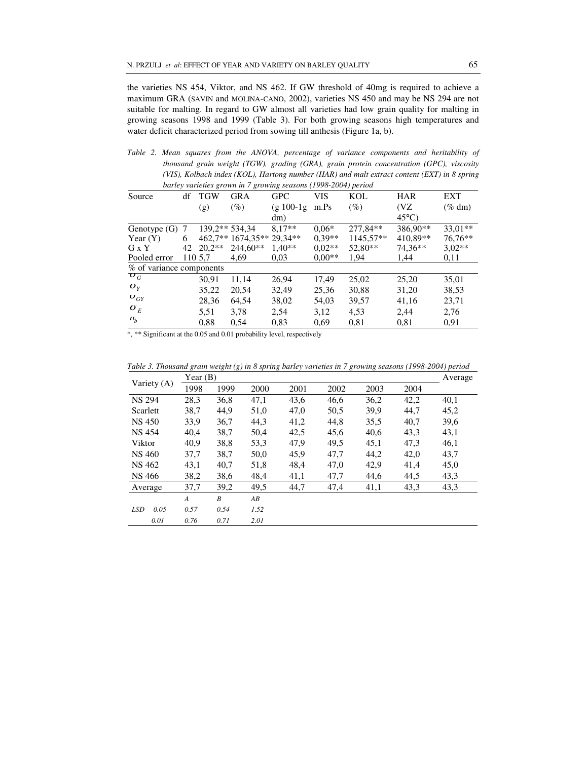the varieties NS 454, Viktor, and NS 462. If GW threshold of 40mg is required to achieve a maximum GRA (SAVIN and MOLINA-CANO, 2002), varieties NS 450 and may be NS 294 are not suitable for malting. In regard to GW almost all varieties had low grain quality for malting in growing seasons 1998 and 1999 (Table 3). For both growing seasons high temperatures and water deficit characterized period from sowing till anthesis (Figure 1a, b).

*Table 2. Mean squares from the ANOVA, percentage of variance components and heritability of thousand grain weight (TGW), grading (GRA), grain protein concentration (GPC), viscosity (VIS), Kolbach index (KOL), Hartong number (HAR) and malt extract content (EXT) in 8 spring barley varieties grown in 7 growing seasons (1998-2004) period* 

| Source                   | df | <b>TGW</b>     | $\sigma$<br><b>GRA</b>    | <b>GPC</b>   | VIS      | KOL       | <b>HAR</b>      | <b>EXT</b> |
|--------------------------|----|----------------|---------------------------|--------------|----------|-----------|-----------------|------------|
|                          |    | (g)            | $(\%)$                    | $(g 100-1g)$ | m.Ps     | $(\%)$    | (VZ             | $(\%$ dm)  |
|                          |    |                |                           | dm)          |          |           | $45^{\circ}$ C) |            |
| Genotype $(G)$           | -7 | 139.2** 534.34 |                           | $8.17**$     | $0.06*$  | 277.84**  | 386.90**        | $33.01**$  |
| Year $(Y)$               | 6  |                | 462,7** 1674,35** 29,34** |              | $0.39**$ | 1145,57** | 410.89**        | 76,76**    |
| G x Y                    | 42 | $20.2**$       | $244.60**$                | $1.40**$     | $0.02**$ | $52,80**$ | 74.36**         | $3.02**$   |
| Pooled error             |    | 110 5,7        | 4,69                      | 0.03         | $0.00**$ | 1,94      | 1,44            | 0,11       |
| % of variance components |    |                |                           |              |          |           |                 |            |
| $\boldsymbol{\sigma}_G$  |    | 30.91          | 11,14                     | 26,94        | 17,49    | 25,02     | 25,20           | 35,01      |
| $\boldsymbol{O}_Y$       |    | 35,22          | 20,54                     | 32,49        | 25,36    | 30,88     | 31,20           | 38,53      |
| $\boldsymbol{\nu}_{GY}$  |    | 28,36          | 64,54                     | 38,02        | 54,03    | 39,57     | 41,16           | 23,71      |
| $\boldsymbol{o}_E$       |    | 5,51           | 3,78                      | 2,54         | 3,12     | 4,53      | 2,44            | 2,76       |
| $n_h$                    |    | 0.88           | 0.54                      | 0.83         | 0.69     | 0,81      | 0,81            | 0.91       |

\*, \*\* Significant at the 0.05 and 0.01 probability level, respectively

*Table 3. Thousand grain weight (g) in 8 spring barley varieties in 7 growing seasons (1998-2004) period* 

|                    | Year $(B)$       |      | Average |      |      |      |      |      |
|--------------------|------------------|------|---------|------|------|------|------|------|
| Variety (A)        | 1998             | 1999 | 2000    | 2001 | 2002 | 2003 | 2004 |      |
| <b>NS 294</b>      | 28,3             | 36,8 | 47,1    | 43,6 | 46,6 | 36,2 | 42,2 | 40,1 |
| Scarlett           | 38,7             | 44,9 | 51,0    | 47,0 | 50,5 | 39,9 | 44.7 | 45,2 |
| <b>NS 450</b>      | 33,9             | 36,7 | 44,3    | 41,2 | 44,8 | 35,5 | 40,7 | 39,6 |
| <b>NS 454</b>      | 40,4             | 38,7 | 50,4    | 42,5 | 45,6 | 40,6 | 43,3 | 43,1 |
| Viktor             | 40.9             | 38,8 | 53,3    | 47,9 | 49,5 | 45,1 | 47.3 | 46,1 |
| <b>NS 460</b>      | 37,7             | 38,7 | 50,0    | 45,9 | 47,7 | 44,2 | 42,0 | 43,7 |
| <b>NS 462</b>      | 43,1             | 40,7 | 51,8    | 48,4 | 47,0 | 42,9 | 41,4 | 45,0 |
| NS 466             | 38,2             | 38,6 | 48,4    | 41,1 | 47,7 | 44,6 | 44,5 | 43,3 |
| Average            | 37,7             | 39,2 | 49,5    | 44,7 | 47,4 | 41,1 | 43,3 | 43,3 |
|                    | $\boldsymbol{A}$ | B    | AB      |      |      |      |      |      |
| 0.05<br><b>LSD</b> | 0.57             | 0.54 | 1.52    |      |      |      |      |      |
| 0.01               | 0.76             | 0.71 | 2.01    |      |      |      |      |      |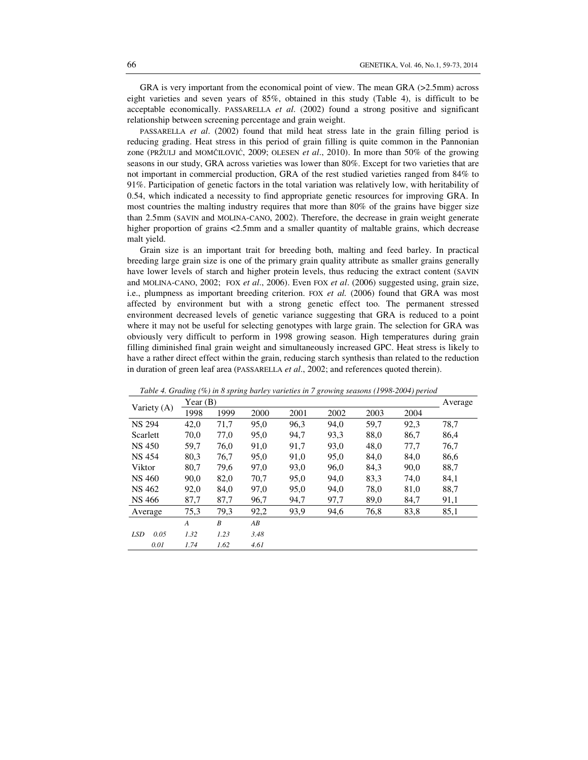GRA is very important from the economical point of view. The mean GRA (>2.5mm) across eight varieties and seven years of 85%, obtained in this study (Table 4), is difficult to be acceptable economically. PASSARELLA *et al*. (2002) found a strong positive and significant relationship between screening percentage and grain weight.

PASSARELLA *et al*. (2002) found that mild heat stress late in the grain filling period is reducing grading. Heat stress in this period of grain filling is quite common in the Pannonian zone (PRŽULJ and MOMČILOVIĆ, 2009; OLESEN *et al*., 2010). In more than 50% of the growing seasons in our study, GRA across varieties was lower than 80%. Except for two varieties that are not important in commercial production, GRA of the rest studied varieties ranged from 84% to 91%. Participation of genetic factors in the total variation was relatively low, with heritability of 0.54, which indicated a necessity to find appropriate genetic resources for improving GRA. In most countries the malting industry requires that more than 80% of the grains have bigger size than 2.5mm (SAVIN and MOLINA-CANO, 2002). Therefore, the decrease in grain weight generate higher proportion of grains  $\leq 2.5$ mm and a smaller quantity of maltable grains, which decrease malt yield.

Grain size is an important trait for breeding both, malting and feed barley. In practical breeding large grain size is one of the primary grain quality attribute as smaller grains generally have lower levels of starch and higher protein levels, thus reducing the extract content (SAVIN and MOLINA-CANO, 2002; FOX *et al*., 2006). Even FOX *et al*. (2006) suggested using, grain size, i.e., plumpness as important breeding criterion. FOX *et al.* (2006) found that GRA was most affected by environment but with a strong genetic effect too. The permanent stressed environment decreased levels of genetic variance suggesting that GRA is reduced to a point where it may not be useful for selecting genotypes with large grain. The selection for GRA was obviously very difficult to perform in 1998 growing season. High temperatures during grain filling diminished final grain weight and simultaneously increased GPC. Heat stress is likely to have a rather direct effect within the grain, reducing starch synthesis than related to the reduction in duration of green leaf area (PASSARELLA *et al*., 2002; and references quoted therein).

|                    | Table 1: Ordanz (70) in 6 spring barley varieties in 7 growing seasons (1996 2004) period |      |      |      |      |      |      |         |  |
|--------------------|-------------------------------------------------------------------------------------------|------|------|------|------|------|------|---------|--|
|                    | Year $(B)$                                                                                |      |      |      |      |      |      | Average |  |
| Variety (A)        | 1998                                                                                      | 1999 | 2000 | 2001 | 2002 | 2003 | 2004 |         |  |
| <b>NS 294</b>      | 42,0                                                                                      | 71,7 | 95,0 | 96,3 | 94,0 | 59.7 | 92,3 | 78,7    |  |
| Scarlett           | 70.0                                                                                      | 77,0 | 95,0 | 94.7 | 93.3 | 88,0 | 86,7 | 86,4    |  |
| <b>NS 450</b>      | 59,7                                                                                      | 76,0 | 91,0 | 91,7 | 93,0 | 48,0 | 77,7 | 76,7    |  |
| <b>NS 454</b>      | 80,3                                                                                      | 76,7 | 95,0 | 91,0 | 95,0 | 84,0 | 84,0 | 86,6    |  |
| Viktor             | 80,7                                                                                      | 79,6 | 97,0 | 93,0 | 96,0 | 84,3 | 90,0 | 88,7    |  |
| NS 460             | 90,0                                                                                      | 82,0 | 70,7 | 95,0 | 94,0 | 83.3 | 74,0 | 84,1    |  |
| NS 462             | 92,0                                                                                      | 84,0 | 97,0 | 95,0 | 94,0 | 78,0 | 81,0 | 88,7    |  |
| NS 466             | 87,7                                                                                      | 87,7 | 96,7 | 94,7 | 97,7 | 89,0 | 84,7 | 91,1    |  |
| Average            | 75,3                                                                                      | 79,3 | 92,2 | 93,9 | 94,6 | 76,8 | 83,8 | 85,1    |  |
|                    | $\boldsymbol{A}$                                                                          | B    | AB   |      |      |      |      |         |  |
| 0.05<br><b>LSD</b> | 1.32                                                                                      | 1.23 | 3.48 |      |      |      |      |         |  |
| 0.01               | 1.74                                                                                      | 1.62 | 4.61 |      |      |      |      |         |  |

*Table 4. Grading (%) in 8 spring barley varieties in 7 growing seasons (1998-2004) period*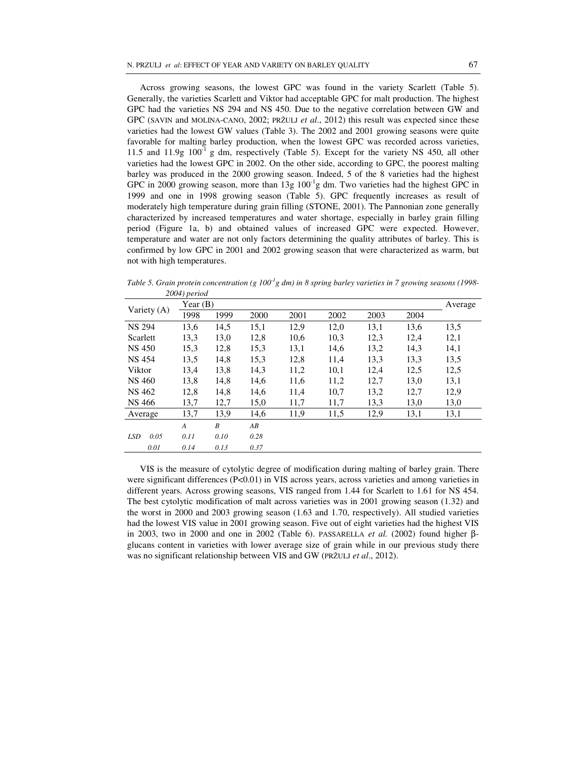Across growing seasons, the lowest GPC was found in the variety Scarlett (Table 5). Generally, the varieties Scarlett and Viktor had acceptable GPC for malt production. The highest GPC had the varieties NS 294 and NS 450. Due to the negative correlation between GW and GPC (SAVIN and MOLINA-CANO, 2002; PRŽULJ *et al*., 2012) this result was expected since these varieties had the lowest GW values (Table 3). The 2002 and 2001 growing seasons were quite favorable for malting barley production, when the lowest GPC was recorded across varieties, 11.5 and 11.9g  $100^{-1}$  g dm, respectively (Table 5). Except for the variety NS 450, all other varieties had the lowest GPC in 2002. On the other side, according to GPC, the poorest malting barley was produced in the 2000 growing season. Indeed, 5 of the 8 varieties had the highest GPC in 2000 growing season, more than  $13g 100<sup>-1</sup>g$  dm. Two varieties had the highest GPC in 1999 and one in 1998 growing season (Table 5). GPC frequently increases as result of moderately high temperature during grain filling (STONE, 2001). The Pannonian zone generally characterized by increased temperatures and water shortage, especially in barley grain filling period (Figure 1a, b) and obtained values of increased GPC were expected. However, temperature and water are not only factors determining the quality attributes of barley. This is confirmed by low GPC in 2001 and 2002 growing season that were characterized as warm, but not with high temperatures.

|                    | Year $(B)$       |      |      |      |      |      |      | Average |
|--------------------|------------------|------|------|------|------|------|------|---------|
| Variety (A)        | 1998             | 1999 | 2000 | 2001 | 2002 | 2003 | 2004 |         |
| <b>NS 294</b>      | 13,6             | 14,5 | 15,1 | 12,9 | 12,0 | 13,1 | 13,6 | 13,5    |
| Scarlett           | 13,3             | 13,0 | 12,8 | 10,6 | 10,3 | 12,3 | 12,4 | 12,1    |
| <b>NS 450</b>      | 15,3             | 12,8 | 15,3 | 13,1 | 14,6 | 13,2 | 14,3 | 14,1    |
| <b>NS 454</b>      | 13,5             | 14,8 | 15,3 | 12,8 | 11,4 | 13,3 | 13.3 | 13,5    |
| Viktor             | 13,4             | 13,8 | 14,3 | 11,2 | 10,1 | 12,4 | 12,5 | 12,5    |
| NS 460             | 13,8             | 14,8 | 14,6 | 11,6 | 11,2 | 12,7 | 13,0 | 13,1    |
| NS 462             | 12,8             | 14,8 | 14,6 | 11,4 | 10,7 | 13,2 | 12,7 | 12,9    |
| NS 466             | 13,7             | 12,7 | 15,0 | 11,7 | 11,7 | 13.3 | 13,0 | 13,0    |
| Average            | 13,7             | 13,9 | 14,6 | 11,9 | 11,5 | 12,9 | 13,1 | 13,1    |
|                    | $\boldsymbol{A}$ | B    | AB   |      |      |      |      |         |
| 0.05<br><b>LSD</b> | 0.11             | 0.10 | 0.28 |      |      |      |      |         |
| 0.01               | 0.14             | 0.13 | 0.37 |      |      |      |      |         |

*Table 5. Grain protein concentration (g 100-1g dm) in 8 spring barley varieties in 7 growing seasons (1998- 2004) period* 

VIS is the measure of cytolytic degree of modification during malting of barley grain. There were significant differences (P<0.01) in VIS across years, across varieties and among varieties in different years. Across growing seasons, VIS ranged from 1.44 for Scarlett to 1.61 for NS 454. The best cytolytic modification of malt across varieties was in 2001 growing season (1.32) and the worst in 2000 and 2003 growing season (1.63 and 1.70, respectively). All studied varieties had the lowest VIS value in 2001 growing season. Five out of eight varieties had the highest VIS in 2003, two in 2000 and one in 2002 (Table 6). PASSARELLA *et al.* (2002) found higher βglucans content in varieties with lower average size of grain while in our previous study there was no significant relationship between VIS and GW (PRŽULJ *et al*., 2012).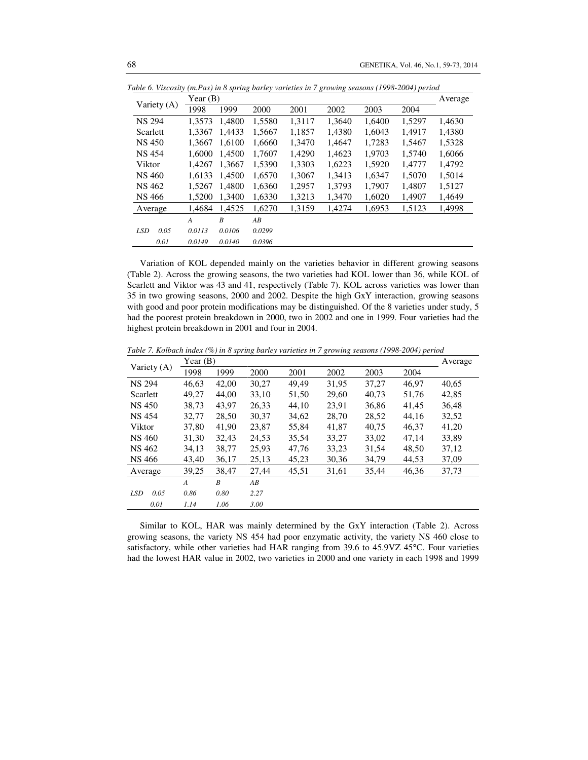|                    | Year $(B)$     |        |        |        |        |        |        | Average |
|--------------------|----------------|--------|--------|--------|--------|--------|--------|---------|
| Variety (A)        | 1998           | 1999   | 2000   | 2001   | 2002   | 2003   | 2004   |         |
| <b>NS 294</b>      | 1.3573         | 1.4800 | 1,5580 | 1,3117 | 1,3640 | 1,6400 | 1,5297 | 1,4630  |
| Scarlett           | 1.3367         | 1.4433 | 1,5667 | 1,1857 | 1,4380 | 1.6043 | 1.4917 | 1,4380  |
| NS 450             | 1.3667         | 1.6100 | 1,6660 | 1,3470 | 1,4647 | 1,7283 | 1,5467 | 1,5328  |
| <b>NS 454</b>      | 1.6000         | 1.4500 | 1.7607 | 1.4290 | 1.4623 | 1,9703 | 1.5740 | 1.6066  |
| Viktor             | 1.4267         | 1,3667 | 1,5390 | 1,3303 | 1,6223 | 1,5920 | 1,4777 | 1,4792  |
| NS 460             | 1.6133         | 1.4500 | 1,6570 | 1,3067 | 1.3413 | 1,6347 | 1,5070 | 1.5014  |
| NS 462             | 1.5267         | 1.4800 | 1,6360 | 1,2957 | 1,3793 | 1.7907 | 1,4807 | 1,5127  |
| NS 466             | 1,5200         | 1,3400 | 1,6330 | 1,3213 | 1,3470 | 1,6020 | 1,4907 | 1,4649  |
| Average            | 1.4684         | 1.4525 | 1.6270 | 1.3159 | 1.4274 | 1,6953 | 1.5123 | 1,4998  |
|                    | $\overline{A}$ | B      | AB     |        |        |        |        |         |
| 0.05<br><b>LSD</b> | 0.0113         | 0.0106 | 0.0299 |        |        |        |        |         |
| 0.01               | 0.0149         | 0.0140 | 0.0396 |        |        |        |        |         |

*Table 6. Viscosity (m.Pas) in 8 spring barley varieties in 7 growing seasons (1998-2004) period* 

Variation of KOL depended mainly on the varieties behavior in different growing seasons (Table 2). Across the growing seasons, the two varieties had KOL lower than 36, while KOL of Scarlett and Viktor was 43 and 41, respectively (Table 7). KOL across varieties was lower than 35 in two growing seasons, 2000 and 2002. Despite the high GxY interaction, growing seasons with good and poor protein modifications may be distinguished. Of the 8 varieties under study, 5 had the poorest protein breakdown in 2000, two in 2002 and one in 1999. Four varieties had the highest protein breakdown in 2001 and four in 2004.

*Table 7. Kolbach index (%) in 8 spring barley varieties in 7 growing seasons (1998-2004) period* 

| Variety (A)        | Year $(B)$       |       |       |       |       |       |       | Average |
|--------------------|------------------|-------|-------|-------|-------|-------|-------|---------|
|                    | 1998             | 1999  | 2000  | 2001  | 2002  | 2003  | 2004  |         |
| <b>NS 294</b>      | 46,63            | 42,00 | 30,27 | 49,49 | 31,95 | 37,27 | 46,97 | 40,65   |
| Scarlett           | 49,27            | 44,00 | 33,10 | 51,50 | 29,60 | 40,73 | 51,76 | 42,85   |
| NS 450             | 38.73            | 43.97 | 26,33 | 44,10 | 23.91 | 36,86 | 41.45 | 36.48   |
| <b>NS 454</b>      | 32,77            | 28,50 | 30,37 | 34,62 | 28,70 | 28,52 | 44.16 | 32,52   |
| Viktor             | 37.80            | 41.90 | 23,87 | 55,84 | 41,87 | 40.75 | 46.37 | 41.20   |
| NS 460             | 31,30            | 32,43 | 24,53 | 35,54 | 33,27 | 33,02 | 47,14 | 33,89   |
| NS 462             | 34,13            | 38,77 | 25,93 | 47,76 | 33,23 | 31,54 | 48,50 | 37,12   |
| NS 466             | 43,40            | 36,17 | 25,13 | 45,23 | 30,36 | 34,79 | 44,53 | 37,09   |
| Average            | 39,25            | 38,47 | 27,44 | 45,51 | 31,61 | 35,44 | 46,36 | 37,73   |
|                    | $\boldsymbol{A}$ | B     | AB    |       |       |       |       |         |
| 0.05<br><b>LSD</b> | 0.86             | 0.80  | 2.27  |       |       |       |       |         |
| 0.01               | 1.14             | 1.06  | 3.00  |       |       |       |       |         |

Similar to KOL, HAR was mainly determined by the GxY interaction (Table 2). Across growing seasons, the variety NS 454 had poor enzymatic activity, the variety NS 460 close to satisfactory, while other varieties had HAR ranging from 39.6 to 45.9VZ 45°C. Four varieties had the lowest HAR value in 2002, two varieties in 2000 and one variety in each 1998 and 1999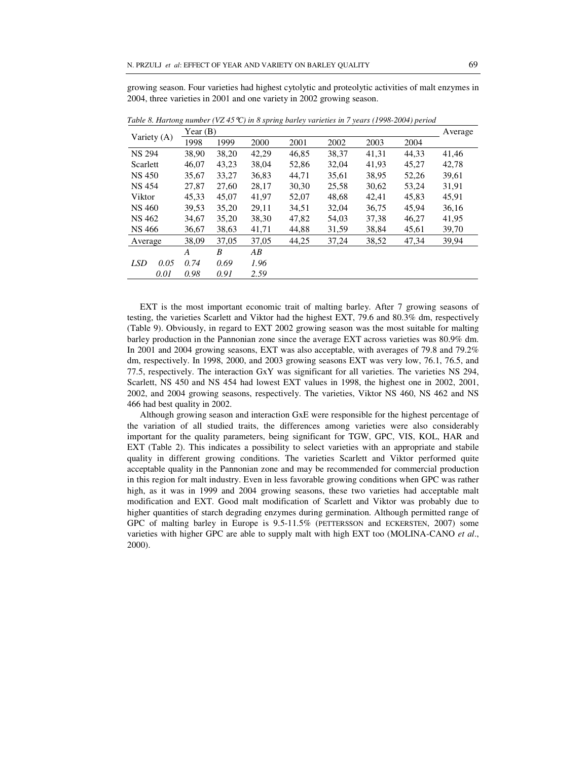growing season. Four varieties had highest cytolytic and proteolytic activities of malt enzymes in 2004, three varieties in 2001 and one variety in 2002 growing season.

|                    | Year $(B)$ |       |       |       |       |       |       | Average |
|--------------------|------------|-------|-------|-------|-------|-------|-------|---------|
| Variety (A)        | 1998       | 1999  | 2000  | 2001  | 2002  | 2003  | 2004  |         |
| <b>NS 294</b>      | 38,90      | 38,20 | 42,29 | 46,85 | 38,37 | 41,31 | 44.33 | 41,46   |
| Scarlett           | 46,07      | 43.23 | 38,04 | 52,86 | 32.04 | 41,93 | 45.27 | 42.78   |
| <b>NS 450</b>      | 35,67      | 33,27 | 36,83 | 44,71 | 35,61 | 38,95 | 52,26 | 39,61   |
| <b>NS 454</b>      | 27,87      | 27,60 | 28,17 | 30,30 | 25,58 | 30,62 | 53,24 | 31,91   |
| Viktor             | 45,33      | 45.07 | 41,97 | 52,07 | 48.68 | 42.41 | 45.83 | 45.91   |
| NS 460             | 39,53      | 35,20 | 29,11 | 34,51 | 32,04 | 36,75 | 45.94 | 36,16   |
| <b>NS 462</b>      | 34,67      | 35,20 | 38,30 | 47,82 | 54,03 | 37,38 | 46,27 | 41.95   |
| NS 466             | 36,67      | 38,63 | 41,71 | 44,88 | 31,59 | 38,84 | 45,61 | 39,70   |
| Average            | 38,09      | 37,05 | 37,05 | 44,25 | 37,24 | 38,52 | 47,34 | 39,94   |
|                    | A          | B     | AВ    |       |       |       |       |         |
| <b>LSD</b><br>0.05 | 0.74       | 0.69  | 1.96  |       |       |       |       |         |
| 0.01               | 0.98       | 0.91  | 2.59  |       |       |       |       |         |

*Table 8. Hartong number (VZ 45*°*C) in 8 spring barley varieties in 7 years (1998-2004) period* 

EXT is the most important economic trait of malting barley. After 7 growing seasons of testing, the varieties Scarlett and Viktor had the highest EXT, 79.6 and 80.3% dm, respectively (Table 9). Obviously, in regard to EXT 2002 growing season was the most suitable for malting barley production in the Pannonian zone since the average EXT across varieties was 80.9% dm. In 2001 and 2004 growing seasons, EXT was also acceptable, with averages of 79.8 and 79.2% dm, respectively. In 1998, 2000, and 2003 growing seasons EXT was very low, 76.1, 76.5, and 77.5, respectively. The interaction GxY was significant for all varieties. The varieties NS 294, Scarlett, NS 450 and NS 454 had lowest EXT values in 1998, the highest one in 2002, 2001, 2002, and 2004 growing seasons, respectively. The varieties, Viktor NS 460, NS 462 and NS 466 had best quality in 2002.

Although growing season and interaction GxE were responsible for the highest percentage of the variation of all studied traits, the differences among varieties were also considerably important for the quality parameters, being significant for TGW, GPC, VIS, KOL, HAR and EXT (Table 2). This indicates a possibility to select varieties with an appropriate and stabile quality in different growing conditions. The varieties Scarlett and Viktor performed quite acceptable quality in the Pannonian zone and may be recommended for commercial production in this region for malt industry. Even in less favorable growing conditions when GPC was rather high, as it was in 1999 and 2004 growing seasons, these two varieties had acceptable malt modification and EXT. Good malt modification of Scarlett and Viktor was probably due to higher quantities of starch degrading enzymes during germination. Although permitted range of GPC of malting barley in Europe is 9.5-11.5% (PETTERSSON and ECKERSTEN, 2007) some varieties with higher GPC are able to supply malt with high EXT too (MOLINA-CANO *et al*., 2000).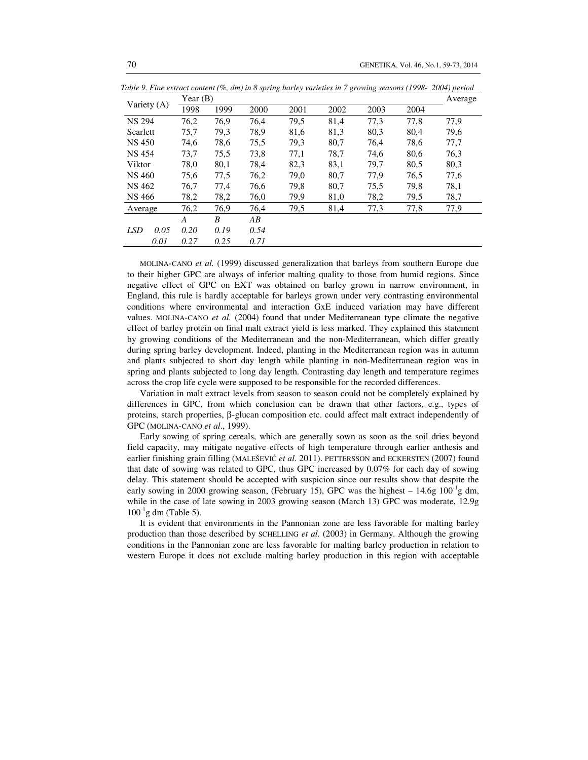|                    | Year $(B)$     |      |      |      |      |      |      | Average |
|--------------------|----------------|------|------|------|------|------|------|---------|
| Variety $(A)$      | 1998           | 1999 | 2000 | 2001 | 2002 | 2003 | 2004 |         |
| <b>NS 294</b>      | 76,2           | 76,9 | 76,4 | 79.5 | 81,4 | 77,3 | 77,8 | 77,9    |
| Scarlett           | 75,7           | 79,3 | 78,9 | 81,6 | 81,3 | 80,3 | 80.4 | 79,6    |
| <b>NS 450</b>      | 74,6           | 78,6 | 75,5 | 79.3 | 80,7 | 76,4 | 78,6 | 77,7    |
| <b>NS 454</b>      | 73.7           | 75.5 | 73.8 | 77.1 | 78.7 | 74.6 | 80.6 | 76,3    |
| Viktor             | 78.0           | 80,1 | 78.4 | 82,3 | 83,1 | 79.7 | 80.5 | 80,3    |
| NS 460             | 75,6           | 77,5 | 76,2 | 79,0 | 80,7 | 77.9 | 76.5 | 77,6    |
| NS 462             | 76.7           | 77,4 | 76,6 | 79.8 | 80,7 | 75,5 | 79.8 | 78,1    |
| NS 466             | 78,2           | 78,2 | 76,0 | 79,9 | 81,0 | 78,2 | 79.5 | 78,7    |
| Average            | 76,2           | 76,9 | 76,4 | 79.5 | 81,4 | 77,3 | 77,8 | 77,9    |
|                    | $\overline{A}$ | B    | AB   |      |      |      |      |         |
| <b>LSD</b><br>0.05 | 0.20           | 0.19 | 0.54 |      |      |      |      |         |
| 0.01               | 0.27           | 0.25 | 0.71 |      |      |      |      |         |

*Table 9. Fine extract content (%, dm) in 8 spring barley varieties in 7 growing seasons (1998- 2004) period* 

MOLINA-CANO *et al.* (1999) discussed generalization that barleys from southern Europe due to their higher GPC are always of inferior malting quality to those from humid regions. Since negative effect of GPC on EXT was obtained on barley grown in narrow environment, in England, this rule is hardly acceptable for barleys grown under very contrasting environmental conditions where environmental and interaction GxE induced variation may have different values. MOLINA-CANO *et al.* (2004) found that under Mediterranean type climate the negative effect of barley protein on final malt extract yield is less marked. They explained this statement by growing conditions of the Mediterranean and the non-Mediterranean, which differ greatly during spring barley development. Indeed, planting in the Mediterranean region was in autumn and plants subjected to short day length while planting in non-Mediterranean region was in spring and plants subjected to long day length. Contrasting day length and temperature regimes across the crop life cycle were supposed to be responsible for the recorded differences.

Variation in malt extract levels from season to season could not be completely explained by differences in GPC, from which conclusion can be drawn that other factors, e.g., types of proteins, starch properties, β-glucan composition etc. could affect malt extract independently of GPC (MOLINA-CANO *et al*., 1999).

Early sowing of spring cereals, which are generally sown as soon as the soil dries beyond field capacity, may mitigate negative effects of high temperature through earlier anthesis and earlier finishing grain filling (MALEŠEVIĆ *et al.* 2011). PETTERSSON and ECKERSTEN (2007) found that date of sowing was related to GPC, thus GPC increased by 0.07% for each day of sowing delay. This statement should be accepted with suspicion since our results show that despite the early sowing in 2000 growing season, (February 15), GPC was the highest  $-14.6g \times 100^{-1}g \text{ dm}$ , while in the case of late sowing in 2003 growing season (March 13) GPC was moderate, 12.9g  $100^{-1}$ g dm (Table 5).

It is evident that environments in the Pannonian zone are less favorable for malting barley production than those described by SCHELLING *et al.* (2003) in Germany. Although the growing conditions in the Pannonian zone are less favorable for malting barley production in relation to western Europe it does not exclude malting barley production in this region with acceptable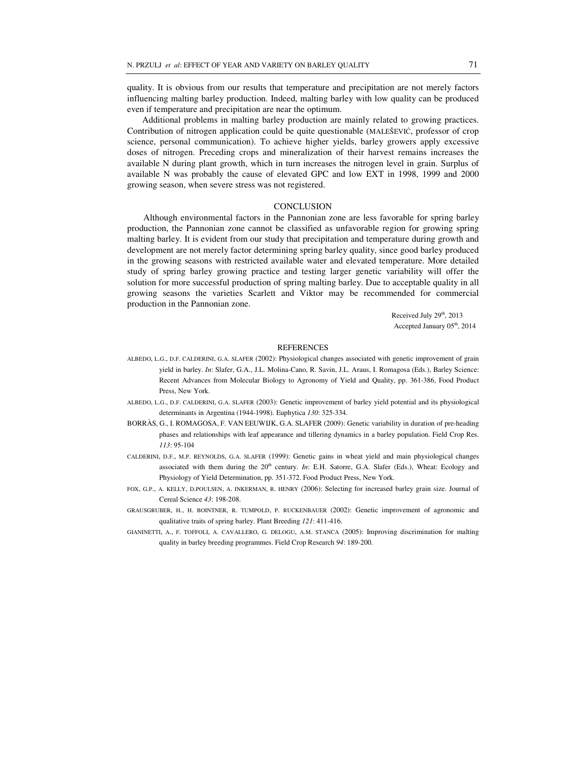quality. It is obvious from our results that temperature and precipitation are not merely factors influencing malting barley production. Indeed, malting barley with low quality can be produced even if temperature and precipitation are near the optimum.

 Additional problems in malting barley production are mainly related to growing practices. Contribution of nitrogen application could be quite questionable (MALEŠEVIĆ, professor of crop science, personal communication). To achieve higher yields, barley growers apply excessive doses of nitrogen. Preceding crops and mineralization of their harvest remains increases the available N during plant growth, which in turn increases the nitrogen level in grain. Surplus of available N was probably the cause of elevated GPC and low EXT in 1998, 1999 and 2000 growing season, when severe stress was not registered.

# **CONCLUSION**

Although environmental factors in the Pannonian zone are less favorable for spring barley production, the Pannonian zone cannot be classified as unfavorable region for growing spring malting barley. It is evident from our study that precipitation and temperature during growth and development are not merely factor determining spring barley quality, since good barley produced in the growing seasons with restricted available water and elevated temperature. More detailed study of spring barley growing practice and testing larger genetic variability will offer the solution for more successful production of spring malting barley. Due to acceptable quality in all growing seasons the varieties Scarlett and Viktor may be recommended for commercial production in the Pannonian zone.

> Received July 29<sup>th</sup>, 2013 Accepted January 05<sup>th</sup>, 2014

# **REFERENCES**

- ALBEDO, L.G., D.F. CALDERINI, G.A. SLAFER (2002): Physiological changes associated with genetic improvement of grain yield in barley. *In*: Slafer, G.A., J.L. Molina-Cano, R. Savin, J.L. Araus, I. Romagosa (Eds.), Barley Science: Recent Advances from Molecular Biology to Agronomy of Yield and Quality, pp. 361-386, Food Product Press, New York.
- ALBEDO, L.G., D.F. CALDERINI, G.A. SLAFER (2003): Genetic improvement of barley yield potential and its physiological determinants in Argentina (1944-1998). Euphytica *130*: 325-334.
- BORRÀS, G., I. ROMAGOSA, F. VAN EEUWIJK, G.A. SLAFER (2009): Genetic variability in duration of pre-heading phases and relationships with leaf appearance and tillering dynamics in a barley population. Field Crop Res. *113*: 95-104
- CALDERINI, D.F., M.P. REYNOLDS, G.A. SLAFER (1999): Genetic gains in wheat yield and main physiological changes associated with them during the 20th century. *In*: E.H. Satorre, G.A. Slafer (Eds.), Wheat: Ecology and Physiology of Yield Determination, pp. 351-372. Food Product Press, New York.
- FOX, G.P., A. KELLY, D.POULSEN, A. INKERMAN, R. HENRY (2006): Selecting for increased barley grain size. Journal of Cereal Science *43*: 198-208.
- GRAUSGRUBER, H., H. BOINTNER, R. TUMPOLD, P. RUCKENBAUER (2002): Genetic improvement of agronomic and qualitative traits of spring barley. Plant Breeding *121*: 411-416.
- GIANINETTI, A., F. TOFFOLI, A. CAVALLERO, G. DELOGU, A.M. STANCA (2005): Improving discrimination for malting quality in barley breeding programmes. Field Crop Research *94*: 189-200.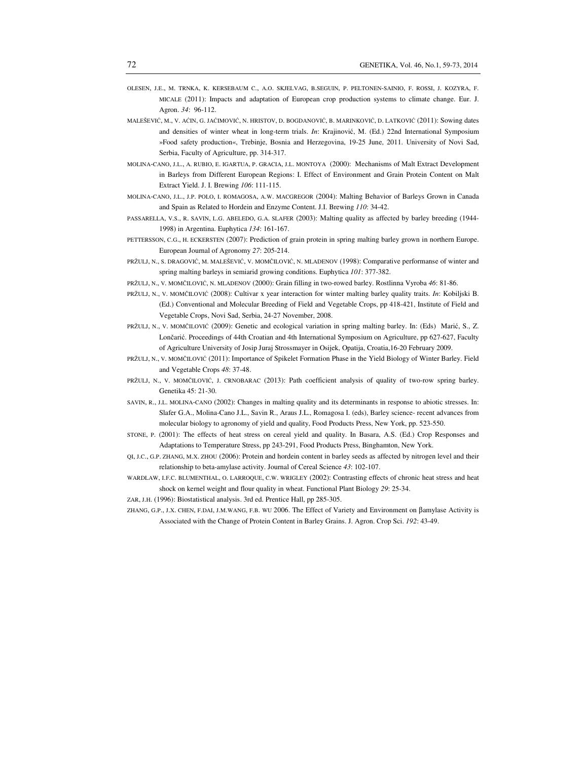- OLESEN, J.E., M. TRNKA, K. KERSEBAUM C., A.O. SKJELVAG, B.SEGUIN, P. PELTONEN-SAINIO, F. ROSSI, J. KOZYRA, F. MICALE (2011): Impacts and adaptation of European crop production systems to climate change. Eur. J. Agron. *34*: 96-112.
- MALEŠEVIĆ, M., V. AĆIN, G. JAĆIMOVIĆ, N. HRISTOV, D. BOGDANOVIĆ, B. MARINKOVIĆ, D. LATKOVIĆ (2011): Sowing dates and densities of winter wheat in long-term trials. *In*: Krajinović, M. (Ed.) 22nd International Symposium »Food safety production«, Trebinje, Bosnia and Herzegovina, 19-25 June, 2011. University of Novi Sad, Serbia, Faculty of Agriculture, pp. 314-317.
- MOLINA-CANO, J.L., A. RUBIO, E. IGARTUA, P. GRACIA, J.L. MONTOYA (2000): Mechanisms of Malt Extract Development in Barleys from Different European Regions: I. Effect of Environment and Grain Protein Content on Malt Extract Yield. J. I. Brewing *106*: 111-115.
- MOLINA-CANO, J.L., J.P. POLO, I. ROMAGOSA, A.W. MACGREGOR (2004): Malting Behavior of Barleys Grown in Canada and Spain as Related to Hordein and Enzyme Content. J.I. Brewing *110*: 34-42.
- PASSARELLA, V.S., R. SAVIN, L.G. ABELEDO, G.A. SLAFER (2003): Malting quality as affected by barley breeding (1944- 1998) in Argentina. Euphytica *134*: 161-167.
- PETTERSSON, C.G., H. ECKERSTEN (2007): Prediction of grain protein in spring malting barley grown in northern Europe. European Journal of Agronomy *27*: 205-214.
- PRŽULJ, N., S. DRAGOVIĆ, M. MALEŠEVIĆ, V. MOMČILOVIĆ, N. MLADENOV (1998): Comparative performanse of winter and spring malting barleys in semiarid growing conditions. Euphytica *101*: 377-382.
- PRŽULJ, N., V. MOMČILOVIĆ, N. MLADENOV (2000): Grain filling in two-rowed barley. Rostlinna Vyroba *46*: 81-86.
- PRŽULJ, N., V. MOMČILOVIĆ (2008): Cultivar x year interaction for winter malting barley quality traits. *In*: Kobiljski B. (Ed.) Conventional and Molecular Breeding of Field and Vegetable Crops, pp 418-421, Institute of Field and Vegetable Crops, Novi Sad, Serbia, 24-27 November, 2008.
- PRŽULJ, N., V. MOMČILOVIĆ (2009): Genetic and ecological variation in spring malting barley. In: (Eds) Marić, S., Z. Lončarić. Proceedings of 44th Croatian and 4th International Symposium on Agriculture, pp 627-627, Faculty of Agriculture University of Josip Juraj Strossmayer in Osijek, Opatija, Croatia,16-20 February 2009.
- PRŽULJ, N., V. MOMČILOVIĆ (2011): Importance of Spikelet Formation Phase in the Yield Biology of Winter Barley. Field and Vegetable Crops *48*: 37-48.
- PRŽULJ, N., V. MOMČILOVIĆ, J. CRNOBARAC (2013): Path coefficient analysis of quality of two-row spring barley. Genetika 45: 21-30.
- SAVIN, R., J.L. MOLINA-CANO (2002): Changes in malting quality and its determinants in response to abiotic stresses. In: Slafer G.A., Molina-Cano J.L., Savin R., Araus J.L., Romagosa I. (eds), Barley science- recent advances from molecular biology to agronomy of yield and quality, Food Products Press, New York, pp. 523-550.
- STONE, P. (2001): The effects of heat stress on cereal yield and quality. In Basara, A.S. (Ed.) Crop Responses and Adaptations to Temperature Stress, pp 243-291, Food Products Press, Binghamton, New York.
- QI, J.C., G.P. ZHANG, M.X. ZHOU (2006): Protein and hordein content in barley seeds as affected by nitrogen level and their relationship to beta-amylase activity. Journal of Cereal Science *43*: 102-107.
- WARDLAW, I.F.C. BLUMENTHAL, O. LARROQUE, C.W. WRIGLEY (2002): Contrasting effects of chronic heat stress and heat shock on kernel weight and flour quality in wheat. Functional Plant Biology *29*: 25-34.
- ZAR, J.H. (1996): Biostatistical analysis. 3rd ed. Prentice Hall, pp 285-305.
- ZHANG, G.P., J.X. CHEN, F.DAI, J.M.WANG, F.B. WU 2006. The Effect of Variety and Environment on βamylase Activity is Associated with the Change of Protein Content in Barley Grains. J. Agron. Crop Sci. *192*: 43-49.